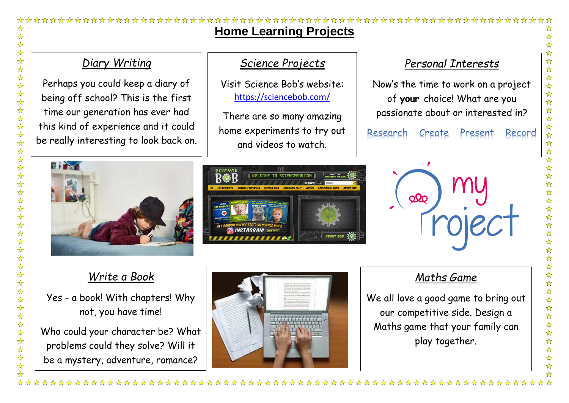# ❖ **Home Learning Projects**  $\frac{1}{\sqrt{2}}$  $\frac{1}{\sqrt{2}}$ ☆☆☆☆☆☆☆☆☆☆☆☆☆☆☆☆☆☆☆☆☆☆☆☆☆☆☆☆☆☆☆☆☆☆ *Diary Writing*

Perhaps you could keep a diary of being off school? This is the first time our generation has ever had this kind of experience and it could be really interesting to look back on.

## *Science Projects*

Visit Science Bob's website: <https://sciencebob.com/>

There are so many amazing home experiments to try out and videos to watch.

## *Personal Interests*

Now's the time to work on a project of **your** choice! What are you passionate about or interested in?

Research Present Create Record







# *Write a Book*

Yes - a book! With chapters! Why not, you have time!

Who could your character be? What problems could they solve? Will it be a mystery, adventure, romance?

公众公众公

 $\frac{1}{\sqrt{2}}$  $\frac{1}{\sqrt{2}}$ 



## *Maths Game*

We all love a good game to bring out our competitive side. Design a Maths game that your family can play together.